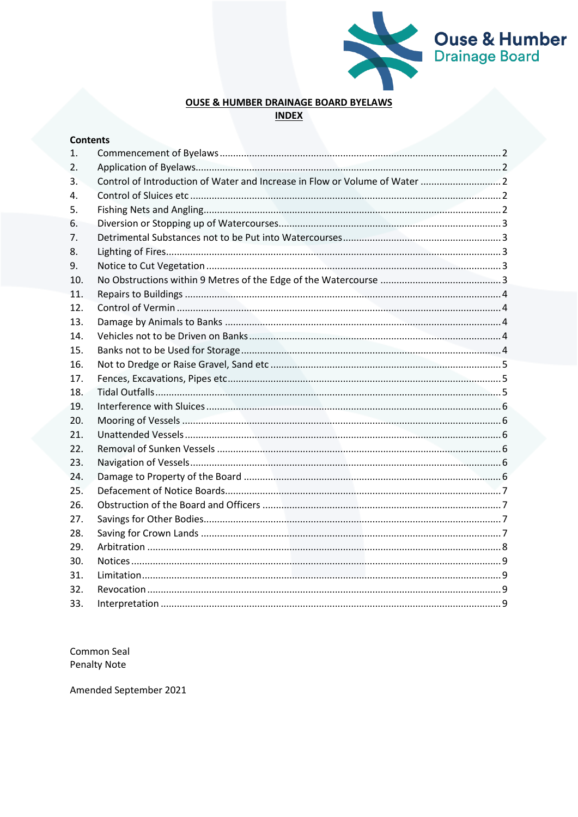

# **OUSE & HUMBER DRAINAGE BOARD BYELAWS INDEX**

| <b>Contents</b> |  |
|-----------------|--|
| 1.              |  |
| 2.              |  |
| 3.              |  |
| 4.              |  |
| 5.              |  |
| 6.              |  |
| 7.              |  |
| 8.              |  |
| 9.              |  |
| 10.             |  |
| 11.             |  |
| 12.             |  |
| 13.             |  |
| 14.             |  |
| 15.             |  |
| 16.             |  |
| 17.             |  |
| 18.             |  |
| 19.             |  |
| 20.             |  |
| 21.             |  |
| 22.             |  |
| 23.             |  |
| 24.             |  |
| 25.             |  |
| 26.             |  |
| 27.             |  |
| 28.             |  |
| 29.             |  |
| 30.             |  |
| 31.             |  |
| 32.             |  |
| 33.             |  |

Common Seal **Penalty Note** 

Amended September 2021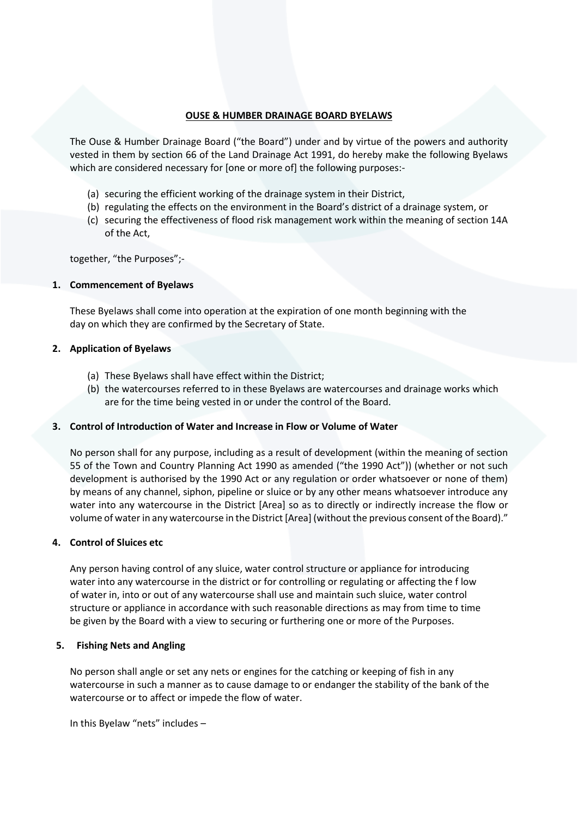# **OUSE & HUMBER DRAINAGE BOARD BYELAWS**

The Ouse & Humber Drainage Board ("the Board") under and by virtue of the powers and authority vested in them by section 66 of the Land Drainage Act 1991, do hereby make the following Byelaws which are considered necessary for [one or more of] the following purposes:-

- (a) securing the efficient working of the drainage system in their District,
- (b) regulating the effects on the environment in the Board's district of a drainage system, or
- (c) securing the effectiveness of flood risk management work within the meaning of section 14A of the Act,

together, "the Purposes";-

# <span id="page-1-0"></span>**1. Commencement of Byelaws**

These Byelaws shall come into operation at the expiration of one month beginning with the day on which they are confirmed by the Secretary of State.

#### <span id="page-1-1"></span>**2. Application of Byelaws**

- (a) These Byelaws shall have effect within the District;
- (b) the watercourses referred to in these Byelaws are watercourses and drainage works which are for the time being vested in or under the control of the Board.

#### <span id="page-1-2"></span>**3. Control of Introduction of Water and Increase in Flow or Volume of Water**

No person shall for any purpose, including as a result of development (within the meaning of section 55 of the Town and Country Planning Act 1990 as amended ("the 1990 Act")) (whether or not such development is authorised by the 1990 Act or any regulation or order whatsoever or none of them) by means of any channel, siphon, pipeline or sluice or by any other means whatsoever introduce any water into any watercourse in the District [Area] so as to directly or indirectly increase the flow or volume of water in any watercourse in the District [Area] (without the previous consent of the Board)."

# <span id="page-1-3"></span>**4. Control of Sluices etc**

Any person having control of any sluice, water control structure or appliance for introducing water into any watercourse in the district or for controlling or regulating or affecting the f low of water in, into or out of any watercourse shall use and maintain such sluice, water control structure or appliance in accordance with such reasonable directions as may from time to time be given by the Board with a view to securing or furthering one or more of the Purposes.

#### <span id="page-1-4"></span>**5. Fishing Nets and Angling**

No person shall angle or set any nets or engines for the catching or keeping of fish in any watercourse in such a manner as to cause damage to or endanger the stability of the bank of the watercourse or to affect or impede the flow of water.

In this Byelaw "nets" includes –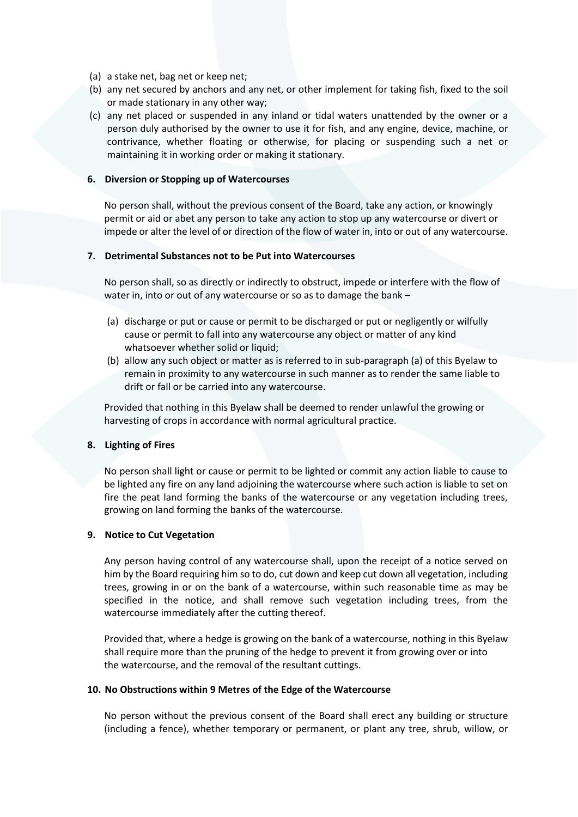- (a) a stake net, bag net or keep net;
- (b) any net secured by anchors and any net, or other implement for taking fish, fixed to the soil or made stationary in any other way;
- (c) any net placed or suspended in any inland or tidal waters unattended by the owner or a person duly authorised by the owner to use it for fish, and any engine, device, machine, or contrivance, whether floating or otherwise, for placing or suspending such a net or maintaining it in working order or making it stationary.

# <span id="page-2-0"></span>**6. Diversion or Stopping up of Watercourses**

No person shall, without the previous consent of the Board, take any action, or knowingly permit or aid or abet any person to take any action to stop up any watercourse or divert or impede or alter the level of or direction of the flow of water in, into or out of any watercourse.

# <span id="page-2-1"></span>**7. Detrimental Substances not to be Put into Watercourses**

No person shall, so as directly or indirectly to obstruct, impede or interfere with the flow of water in, into or out of any watercourse or so as to damage the bank –

- (a) discharge or put or cause or permit to be discharged or put or negligently or wilfully cause or permit to fall into any watercourse any object or matter of any kind whatsoever whether solid or liquid:
- (b) allow any such object or matter as is referred to in sub-paragraph (a) of this Byelaw to remain in proximity to any watercourse in such manner as to render the same liable to drift or fall or be carried into any watercourse.

Provided that nothing in this Byelaw shall be deemed to render unlawful the growing or harvesting of crops in accordance with normal agricultural practice.

#### <span id="page-2-2"></span>**8. Lighting of Fires**

No person shall light or cause or permit to be lighted or commit any action liable to cause to be lighted any fire on any land adjoining the watercourse where such action is liable to set on fire the peat land forming the banks of the watercourse or any vegetation including trees, growing on land forming the banks of the watercourse.

# <span id="page-2-3"></span>**9. Notice to Cut Vegetation**

Any person having control of any watercourse shall, upon the receipt of a notice served on him by the Board requiring him so to do, cut down and keep cut down all vegetation, including trees, growing in or on the bank of a watercourse, within such reasonable time as may be specified in the notice, and shall remove such vegetation including trees, from the watercourse immediately after the cutting thereof.

Provided that, where a hedge is growing on the bank of a watercourse, nothing in this Byelaw shall require more than the pruning of the hedge to prevent it from growing over or into the watercourse, and the removal of the resultant cuttings.

#### <span id="page-2-4"></span>**10. No Obstructions within 9 Metres of the Edge of the Watercourse**

No person without the previous consent of the Board shall erect any building or structure (including a fence), whether temporary or permanent, or plant any tree, shrub, willow, or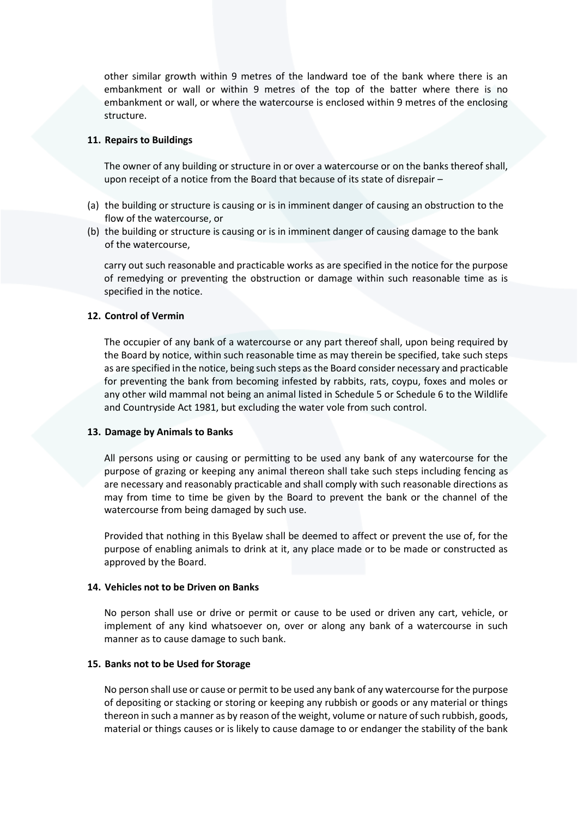other similar growth within 9 metres of the landward toe of the bank where there is an embankment or wall or within 9 metres of the top of the batter where there is no embankment or wall, or where the watercourse is enclosed within 9 metres of the enclosing structure.

#### <span id="page-3-0"></span>**11. Repairs to Buildings**

The owner of any building or structure in or over a watercourse or on the banks thereof shall, upon receipt of a notice from the Board that because of its state of disrepair –

- (a) the building or structure is causing or is in imminent danger of causing an obstruction to the flow of the watercourse, or
- (b) the building or structure is causing or is in imminent danger of causing damage to the bank of the watercourse,

carry out such reasonable and practicable works as are specified in the notice for the purpose of remedying or preventing the obstruction or damage within such reasonable time as is specified in the notice.

### <span id="page-3-1"></span>**12. Control of Vermin**

The occupier of any bank of a watercourse or any part thereof shall, upon being required by the Board by notice, within such reasonable time as may therein be specified, take such steps as are specified in the notice, being such steps as the Board consider necessary and practicable for preventing the bank from becoming infested by rabbits, rats, coypu, foxes and moles or any other wild mammal not being an animal listed in Schedule 5 or Schedule 6 to the Wildlife and Countryside Act 1981, but excluding the water vole from such control.

#### <span id="page-3-2"></span>**13. Damage by Animals to Banks**

All persons using or causing or permitting to be used any bank of any watercourse for the purpose of grazing or keeping any animal thereon shall take such steps including fencing as are necessary and reasonably practicable and shall comply with such reasonable directions as may from time to time be given by the Board to prevent the bank or the channel of the watercourse from being damaged by such use.

Provided that nothing in this Byelaw shall be deemed to affect or prevent the use of, for the purpose of enabling animals to drink at it, any place made or to be made or constructed as approved by the Board.

#### <span id="page-3-3"></span>**14. Vehicles not to be Driven on Banks**

No person shall use or drive or permit or cause to be used or driven any cart, vehicle, or implement of any kind whatsoever on, over or along any bank of a watercourse in such manner as to cause damage to such bank.

#### <span id="page-3-4"></span>**15. Banks not to be Used for Storage**

No person shall use or cause or permit to be used any bank of any watercourse for the purpose of depositing or stacking or storing or keeping any rubbish or goods or any material or things thereon in such a manner as by reason of the weight, volume or nature of such rubbish, goods, material or things causes or is likely to cause damage to or endanger the stability of the bank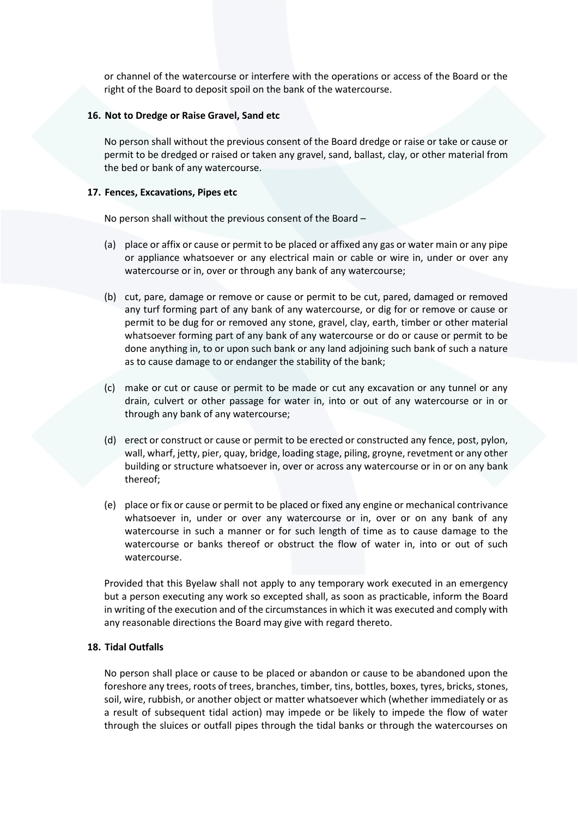or channel of the watercourse or interfere with the operations or access of the Board or the right of the Board to deposit spoil on the bank of the watercourse.

### <span id="page-4-0"></span>**16. Not to Dredge or Raise Gravel, Sand etc**

No person shall without the previous consent of the Board dredge or raise or take or cause or permit to be dredged or raised or taken any gravel, sand, ballast, clay, or other material from the bed or bank of any watercourse.

### <span id="page-4-1"></span>**17. Fences, Excavations, Pipes etc**

No person shall without the previous consent of the Board –

- (a) place or affix or cause or permit to be placed or affixed any gas or water main or any pipe or appliance whatsoever or any electrical main or cable or wire in, under or over any watercourse or in, over or through any bank of any watercourse;
- (b) cut, pare, damage or remove or cause or permit to be cut, pared, damaged or removed any turf forming part of any bank of any watercourse, or dig for or remove or cause or permit to be dug for or removed any stone, gravel, clay, earth, timber or other material whatsoever forming part of any bank of any watercourse or do or cause or permit to be done anything in, to or upon such bank or any land adjoining such bank of such a nature as to cause damage to or endanger the stability of the bank;
- (c) make or cut or cause or permit to be made or cut any excavation or any tunnel or any drain, culvert or other passage for water in, into or out of any watercourse or in or through any bank of any watercourse;
- (d) erect or construct or cause or permit to be erected or constructed any fence, post, pylon, wall, wharf, jetty, pier, quay, bridge, loading stage, piling, groyne, revetment or any other building or structure whatsoever in, over or across any watercourse or in or on any bank thereof;
- (e) place or fix or cause or permit to be placed or fixed any engine or mechanical contrivance whatsoever in, under or over any watercourse or in, over or on any bank of any watercourse in such a manner or for such length of time as to cause damage to the watercourse or banks thereof or obstruct the flow of water in, into or out of such watercourse.

Provided that this Byelaw shall not apply to any temporary work executed in an emergency but a person executing any work so excepted shall, as soon as practicable, inform the Board in writing of the execution and of the circumstances in which it was executed and comply with any reasonable directions the Board may give with regard thereto.

# <span id="page-4-2"></span>**18. Tidal Outfalls**

No person shall place or cause to be placed or abandon or cause to be abandoned upon the foreshore any trees, roots of trees, branches, timber, tins, bottles, boxes, tyres, bricks, stones, soil, wire, rubbish, or another object or matter whatsoever which (whether immediately or as a result of subsequent tidal action) may impede or be likely to impede the flow of water through the sluices or outfall pipes through the tidal banks or through the watercourses on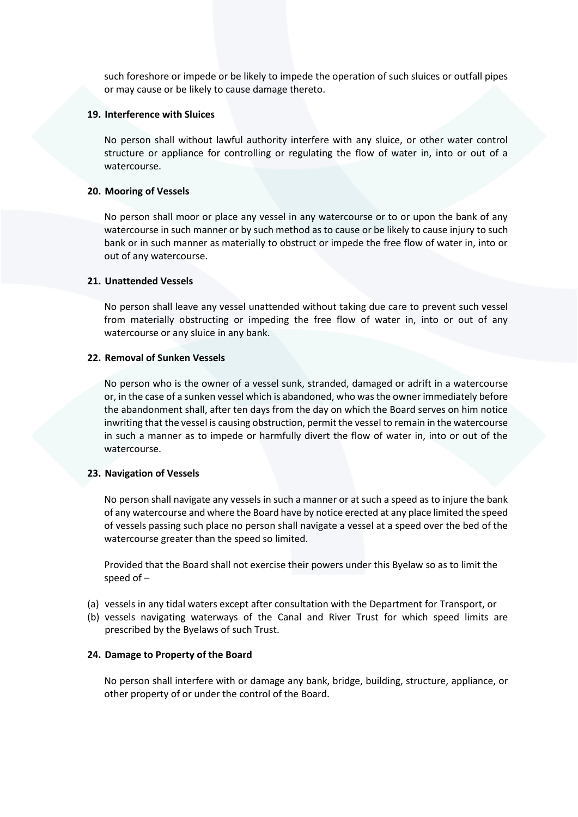such foreshore or impede or be likely to impede the operation of such sluices or outfall pipes or may cause or be likely to cause damage thereto.

#### <span id="page-5-0"></span>**19. Interference with Sluices**

No person shall without lawful authority interfere with any sluice, or other water control structure or appliance for controlling or regulating the flow of water in, into or out of a watercourse.

#### <span id="page-5-1"></span>**20. Mooring of Vessels**

No person shall moor or place any vessel in any watercourse or to or upon the bank of any watercourse in such manner or by such method as to cause or be likely to cause injury to such bank or in such manner as materially to obstruct or impede the free flow of water in, into or out of any watercourse.

#### <span id="page-5-2"></span>**21. Unattended Vessels**

No person shall leave any vessel unattended without taking due care to prevent such vessel from materially obstructing or impeding the free flow of water in, into or out of any watercourse or any sluice in any bank.

#### <span id="page-5-3"></span>**22. Removal of Sunken Vessels**

No person who is the owner of a vessel sunk, stranded, damaged or adrift in a watercourse or, in the case of a sunken vessel which is abandoned, who was the owner immediately before the abandonment shall, after ten days from the day on which the Board serves on him notice inwriting that the vessel is causing obstruction, permit the vessel to remain in the watercourse in such a manner as to impede or harmfully divert the flow of water in, into or out of the watercourse.

### <span id="page-5-4"></span>**23. Navigation of Vessels**

No person shall navigate any vessels in such a manner or at such a speed as to injure the bank of any watercourse and where the Board have by notice erected at any place limited the speed of vessels passing such place no person shall navigate a vessel at a speed over the bed of the watercourse greater than the speed so limited.

Provided that the Board shall not exercise their powers under this Byelaw so as to limit the speed of –

- (a) vessels in any tidal waters except after consultation with the Department for Transport, or
- (b) vessels navigating waterways of the Canal and River Trust for which speed limits are prescribed by the Byelaws of such Trust.

#### <span id="page-5-5"></span>**24. Damage to Property of the Board**

No person shall interfere with or damage any bank, bridge, building, structure, appliance, or other property of or under the control of the Board.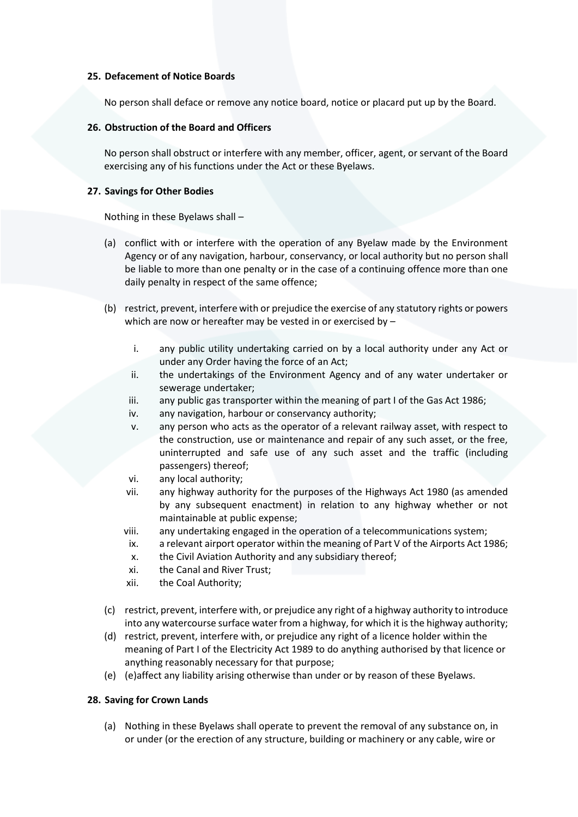# <span id="page-6-0"></span>**25. Defacement of Notice Boards**

No person shall deface or remove any notice board, notice or placard put up by the Board.

# <span id="page-6-1"></span>**26. Obstruction of the Board and Officers**

No person shall obstruct or interfere with any member, officer, agent, or servant of the Board exercising any of his functions under the Act or these Byelaws.

# <span id="page-6-2"></span>**27. Savings for Other Bodies**

Nothing in these Byelaws shall –

- (a) conflict with or interfere with the operation of any Byelaw made by the Environment Agency or of any navigation, harbour, conservancy, or local authority but no person shall be liable to more than one penalty or in the case of a continuing offence more than one daily penalty in respect of the same offence;
- (b) restrict, prevent, interfere with or prejudice the exercise of any statutory rights or powers which are now or hereafter may be vested in or exercised by –
	- i. any public utility undertaking carried on by a local authority under any Act or under any Order having the force of an Act;
	- ii. the undertakings of the Environment Agency and of any water undertaker or sewerage undertaker;
	- iii. any public gas transporter within the meaning of part I of the Gas Act 1986;
	- iv. any navigation, harbour or conservancy authority;
	- v. any person who acts as the operator of a relevant railway asset, with respect to the construction, use or maintenance and repair of any such asset, or the free, uninterrupted and safe use of any such asset and the traffic (including passengers) thereof;
	- vi. any local authority;
	- vii. any highway authority for the purposes of the Highways Act 1980 (as amended by any subsequent enactment) in relation to any highway whether or not maintainable at public expense;
	- viii. any undertaking engaged in the operation of a telecommunications system;
		- ix. a relevant airport operator within the meaning of Part V of the Airports Act 1986;
		- x. the Civil Aviation Authority and any subsidiary thereof;
	- xi. the Canal and River Trust;
	- xii. the Coal Authority;
- (c) restrict, prevent, interfere with, or prejudice any right of a highway authority to introduce into any watercourse surface water from a highway, for which it is the highway authority;
- (d) restrict, prevent, interfere with, or prejudice any right of a licence holder within the meaning of Part I of the Electricity Act 1989 to do anything authorised by that licence or anything reasonably necessary for that purpose;
- (e) (e)affect any liability arising otherwise than under or by reason of these Byelaws.

# <span id="page-6-3"></span>**28. Saving for Crown Lands**

(a) Nothing in these Byelaws shall operate to prevent the removal of any substance on, in or under (or the erection of any structure, building or machinery or any cable, wire or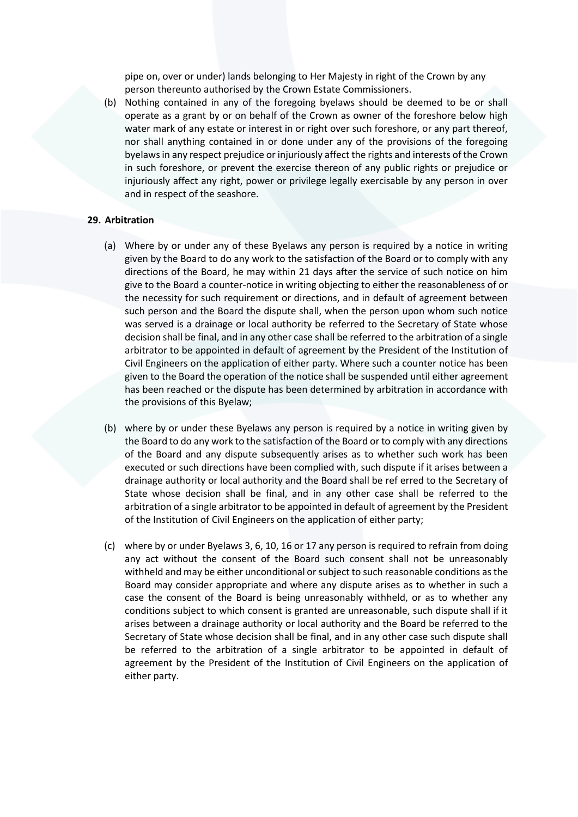pipe on, over or under) lands belonging to Her Majesty in right of the Crown by any person thereunto authorised by the Crown Estate Commissioners.

(b) Nothing contained in any of the foregoing byelaws should be deemed to be or shall operate as a grant by or on behalf of the Crown as owner of the foreshore below high water mark of any estate or interest in or right over such foreshore, or any part thereof, nor shall anything contained in or done under any of the provisions of the foregoing byelaws in any respect prejudice or injuriously affect the rights and interests of the Crown in such foreshore, or prevent the exercise thereon of any public rights or prejudice or injuriously affect any right, power or privilege legally exercisable by any person in over and in respect of the seashore.

# <span id="page-7-0"></span>**29. Arbitration**

- (a) Where by or under any of these Byelaws any person is required by a notice in writing given by the Board to do any work to the satisfaction of the Board or to comply with any directions of the Board, he may within 21 days after the service of such notice on him give to the Board a counter-notice in writing objecting to either the reasonableness of or the necessity for such requirement or directions, and in default of agreement between such person and the Board the dispute shall, when the person upon whom such notice was served is a drainage or local authority be referred to the Secretary of State whose decision shall be final, and in any other case shall be referred to the arbitration of a single arbitrator to be appointed in default of agreement by the President of the Institution of Civil Engineers on the application of either party. Where such a counter notice has been given to the Board the operation of the notice shall be suspended until either agreement has been reached or the dispute has been determined by arbitration in accordance with the provisions of this Byelaw;
- (b) where by or under these Byelaws any person is required by a notice in writing given by the Board to do any work to the satisfaction of the Board or to comply with any directions of the Board and any dispute subsequently arises as to whether such work has been executed or such directions have been complied with, such dispute if it arises between a drainage authority or local authority and the Board shall be ref erred to the Secretary of State whose decision shall be final, and in any other case shall be referred to the arbitration of a single arbitrator to be appointed in default of agreement by the President of the Institution of Civil Engineers on the application of either party;
- (c) where by or under Byelaws 3, 6, 10, 16 or 17 any person is required to refrain from doing any act without the consent of the Board such consent shall not be unreasonably withheld and may be either unconditional or subject to such reasonable conditions as the Board may consider appropriate and where any dispute arises as to whether in such a case the consent of the Board is being unreasonably withheld, or as to whether any conditions subject to which consent is granted are unreasonable, such dispute shall if it arises between a drainage authority or local authority and the Board be referred to the Secretary of State whose decision shall be final, and in any other case such dispute shall be referred to the arbitration of a single arbitrator to be appointed in default of agreement by the President of the Institution of Civil Engineers on the application of either party.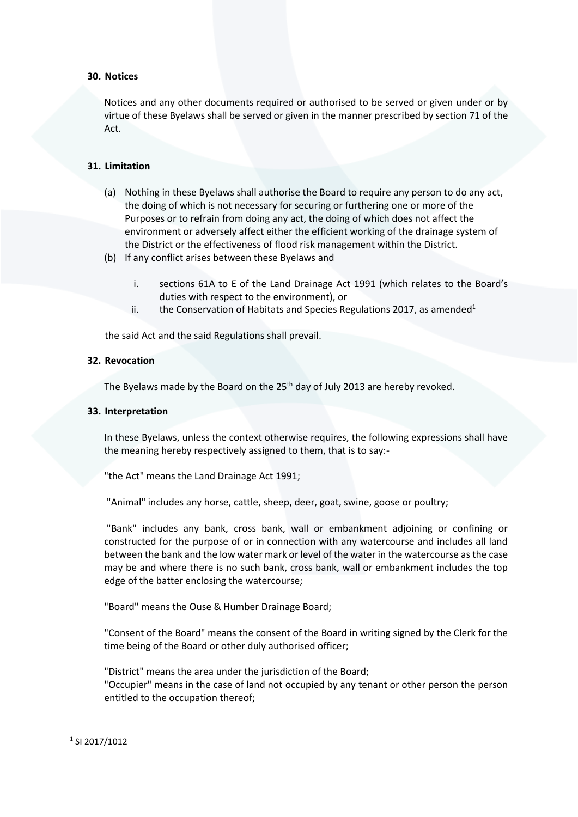# <span id="page-8-0"></span>**30. Notices**

Notices and any other documents required or authorised to be served or given under or by virtue of these Byelaws shall be served or given in the manner prescribed by section 71 of the Act.

# <span id="page-8-1"></span>**31. Limitation**

- (a) Nothing in these Byelaws shall authorise the Board to require any person to do any act, the doing of which is not necessary for securing or furthering one or more of the Purposes or to refrain from doing any act, the doing of which does not affect the environment or adversely affect either the efficient working of the drainage system of the District or the effectiveness of flood risk management within the District.
- (b) If any conflict arises between these Byelaws and
	- i. sections 61A to E of the Land Drainage Act 1991 (which relates to the Board's duties with respect to the environment), or
	- ii. the Conservation of Habitats and Species Regulations 2017, as amended<sup>1</sup>

the said Act and the said Regulations shall prevail.

# <span id="page-8-2"></span>**32. Revocation**

The Byelaws made by the Board on the  $25<sup>th</sup>$  day of July 2013 are hereby revoked.

### <span id="page-8-3"></span>**33. Interpretation**

In these Byelaws, unless the context otherwise requires, the following expressions shall have the meaning hereby respectively assigned to them, that is to say:-

"the Act" means the Land Drainage Act 1991;

"Animal" includes any horse, cattle, sheep, deer, goat, swine, goose or poultry;

"Bank" includes any bank, cross bank, wall or embankment adjoining or confining or constructed for the purpose of or in connection with any watercourse and includes all land between the bank and the low water mark or level of the water in the watercourse as the case may be and where there is no such bank, cross bank, wall or embankment includes the top edge of the batter enclosing the watercourse;

"Board" means the Ouse & Humber Drainage Board;

"Consent of the Board" means the consent of the Board in writing signed by the Clerk for the time being of the Board or other duly authorised officer;

"District" means the area under the jurisdiction of the Board;

"Occupier" means in the case of land not occupied by any tenant or other person the person entitled to the occupation thereof;

<sup>1</sup> SI 2017/1012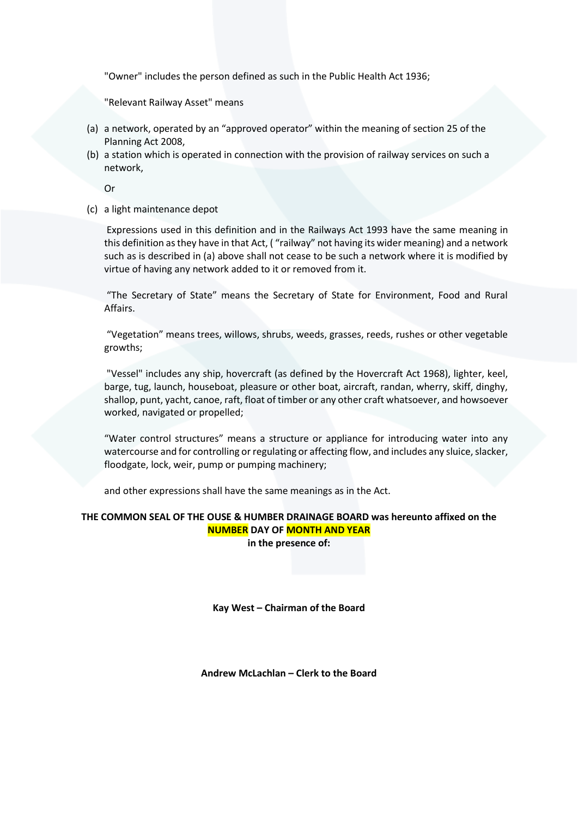"Owner" includes the person defined as such in the Public Health Act 1936;

"Relevant Railway Asset" means

- (a) a network, operated by an "approved operator" within the meaning of section 25 of the Planning Act 2008,
- (b) a station which is operated in connection with the provision of railway services on such a network,

Or

(c) a light maintenance depot

Expressions used in this definition and in the Railways Act 1993 have the same meaning in this definition as they have in that Act, ( "railway" not having its wider meaning) and a network such as is described in (a) above shall not cease to be such a network where it is modified by virtue of having any network added to it or removed from it.

"The Secretary of State" means the Secretary of State for Environment, Food and Rural Affairs.

"Vegetation" means trees, willows, shrubs, weeds, grasses, reeds, rushes or other vegetable growths;

"Vessel" includes any ship, hovercraft (as defined by the Hovercraft Act 1968), lighter, keel, barge, tug, launch, houseboat, pleasure or other boat, aircraft, randan, wherry, skiff, dinghy, shallop, punt, yacht, canoe, raft, float of timber or any other craft whatsoever, and howsoever worked, navigated or propelled;

"Water control structures" means a structure or appliance for introducing water into any watercourse and for controlling or regulating or affecting flow, and includes any sluice, slacker, floodgate, lock, weir, pump or pumping machinery;

and other expressions shall have the same meanings as in the Act.

# **THE COMMON SEAL OF THE OUSE & HUMBER DRAINAGE BOARD was hereunto affixed on the NUMBER DAY OF MONTH AND YEAR**

**in the presence of:**

**Kay West – Chairman of the Board**

**Andrew McLachlan – Clerk to the Board**